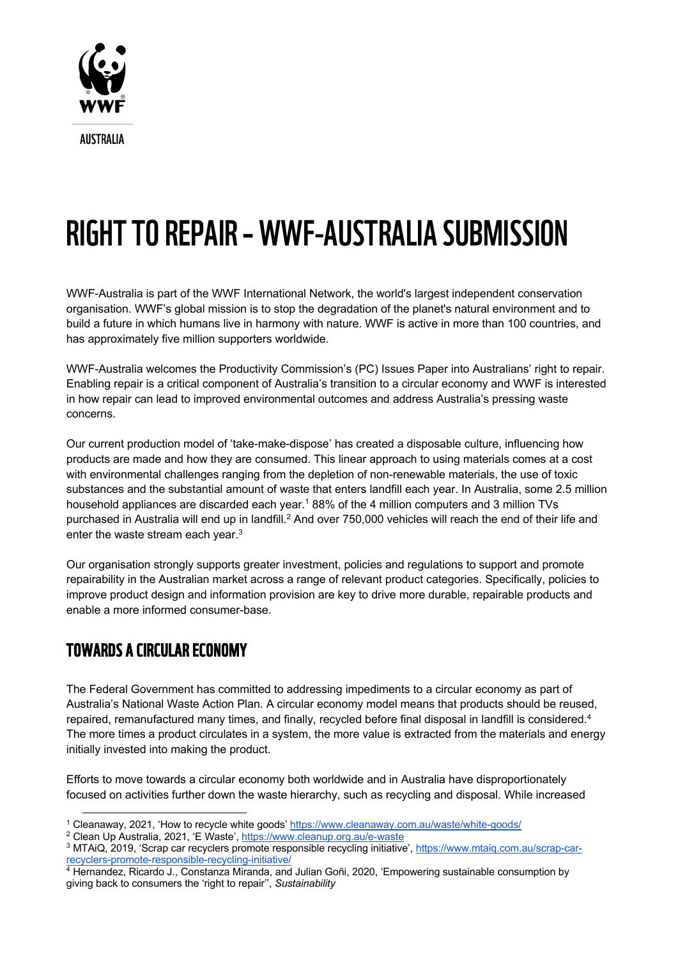

# RIGHT TO REPAIR–WWF-AUSTRALIA SUBMISSION

WWF-Australia is part of the WWF International Network, the world's largest independent conservation organisation. WWF's global mission is to stop the degradation of the planet's natural environment and to build a future in which humans live in harmony with nature. WWF is active in more than 100 countries, and has approximately five million supporters worldwide.

WWF-Australia welcomes the Productivity Commission's (PC) Issues Paper into Australians' right to repair. Enabling repair is a critical component of Australia's transition to a circular economy and WWF is interested in how repair can lead to improved environmental outcomes and address Australia's pressing waste concerns.

Our current production model of 'take-make-dispose' has created a disposable culture, influencing how products are made and how they are consumed. This linear approach to using materials comes at a cost with environmental challenges ranging from the depletion of non-renewable materials, the use of toxic substances and the substantial amount of waste that enters landfill each year. In Australia, some 2.5 million household appliances are discarded each year.<sup>1</sup> 88% of the 4 million computers and 3 million TVs purchased in Australia will end up in landfill.2 And over 750,000 vehicles will reach the end of their life and enter the waste stream each year.<sup>3</sup>

Our organisation strongly supports greater investment, policies and regulations to support and promote repairability in the Australian market across a range of relevant product categories. Specifically, policies to improve product design and information provision are key to drive more durable, repairable products and enable a more informed consumer-base.

# TOWARDS A CIRCULAR ECONOMY

The Federal Government has committed to addressing impediments to a circular economy as part of Australia's National Waste Action Plan. A circular economy model means that products should be reused, repaired, remanufactured many times, and finally, recycled before final disposal in landfill is considered.<sup>4</sup> The more times a product circulates in a system, the more value is extracted from the materials and energy initially invested into making the product.

Efforts to move towards a circular economy both worldwide and in Australia have disproportionately focused on activities further down the waste hierarchy, such as recycling and disposal. While increased

<sup>1</sup> Cleanaway, 2021, 'How to recycle white goods' https://www.cleanaway.com.au/waste/white-goods/

<sup>&</sup>lt;sup>2</sup> Clean Up Australia, 2021, 'E Waste', https://www.cleanup.org.au/e-waste

<sup>3</sup> MTAiQ, 2019, 'Scrap car recyclers promote responsible recycling initiative', https://www.mtaiq.com.au/scrap-carrecyclers-promote-responsible-recycling-initiative/

<sup>4</sup> Hernandez, Ricardo J., Constanza Miranda, and Julian Goñi, 2020, 'Empowering sustainable consumption by giving back to consumers the 'right to repair'', *Sustainability*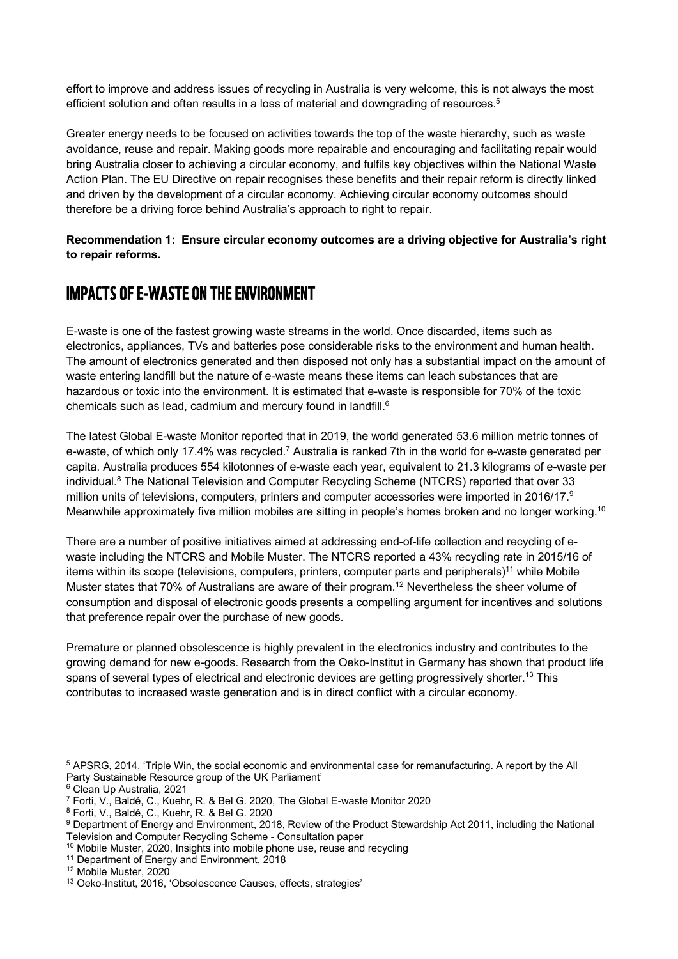effort to improve and address issues of recycling in Australia is very welcome, this is not always the most efficient solution and often results in a loss of material and downgrading of resources.<sup>5</sup>

Greater energy needs to be focused on activities towards the top of the waste hierarchy, such as waste avoidance, reuse and repair. Making goods more repairable and encouraging and facilitating repair would bring Australia closer to achieving a circular economy, and fulfils key objectives within the National Waste Action Plan. The EU Directive on repair recognises these benefits and their repair reform is directly linked and driven by the development of a circular economy. Achieving circular economy outcomes should therefore be a driving force behind Australia's approach to right to repair.

**Recommendation 1: Ensure circular economy outcomes are a driving objective for Australia's right to repair reforms.**

## IMPACTS OF E-WASTE ON THE ENVIRONMENT

E-waste is one of the fastest growing waste streams in the world. Once discarded, items such as electronics, appliances, TVs and batteries pose considerable risks to the environment and human health. The amount of electronics generated and then disposed not only has a substantial impact on the amount of waste entering landfill but the nature of e-waste means these items can leach substances that are hazardous or toxic into the environment. It is estimated that e-waste is responsible for 70% of the toxic chemicals such as lead, cadmium and mercury found in landfill.6

The latest Global E-waste Monitor reported that in 2019, the world generated 53.6 million metric tonnes of e-waste, of which only 17.4% was recycled.<sup>7</sup> Australia is ranked 7th in the world for e-waste generated per capita. Australia produces 554 kilotonnes of e-waste each year, equivalent to 21.3 kilograms of e-waste per individual.<sup>8</sup> The National Television and Computer Recycling Scheme (NTCRS) reported that over 33 million units of televisions, computers, printers and computer accessories were imported in 2016/17.<sup>9</sup> Meanwhile approximately five million mobiles are sitting in people's homes broken and no longer working.<sup>10</sup>

There are a number of positive initiatives aimed at addressing end-of-life collection and recycling of ewaste including the NTCRS and Mobile Muster. The NTCRS reported a 43% recycling rate in 2015/16 of items within its scope (televisions, computers, printers, computer parts and peripherals)<sup>11</sup> while Mobile Muster states that 70% of Australians are aware of their program.<sup>12</sup> Nevertheless the sheer volume of consumption and disposal of electronic goods presents a compelling argument for incentives and solutions that preference repair over the purchase of new goods.

Premature or planned obsolescence is highly prevalent in the electronics industry and contributes to the growing demand for new e-goods. Research from the Oeko-Institut in Germany has shown that product life spans of several types of electrical and electronic devices are getting progressively shorter.<sup>13</sup> This contributes to increased waste generation and is in direct conflict with a circular economy.

<sup>5</sup> APSRG, 2014, 'Triple Win, the social economic and environmental case for remanufacturing. A report by the All Party Sustainable Resource group of the UK Parliament'

<sup>6</sup> Clean Up Australia, 2021

<sup>7</sup> Forti, V., Baldé, C., Kuehr, R. & Bel G. 2020, The Global E-waste Monitor 2020

<sup>8</sup> Forti, V., Baldé, C., Kuehr, R. & Bel G. 2020

<sup>9</sup> Department of Energy and Environment, 2018, Review of the Product Stewardship Act 2011, including the National

Television and Computer Recycling Scheme - Consultation paper<br><sup>10</sup> Mobile Muster, 2020, Insights into mobile phone use, reuse and recycling<br><sup>11</sup> Department of Energy and Environment, 2018

<sup>12</sup> Mobile Muster, 2020

<sup>13</sup> Oeko-Institut, 2016, 'Obsolescence Causes, effects, strategies'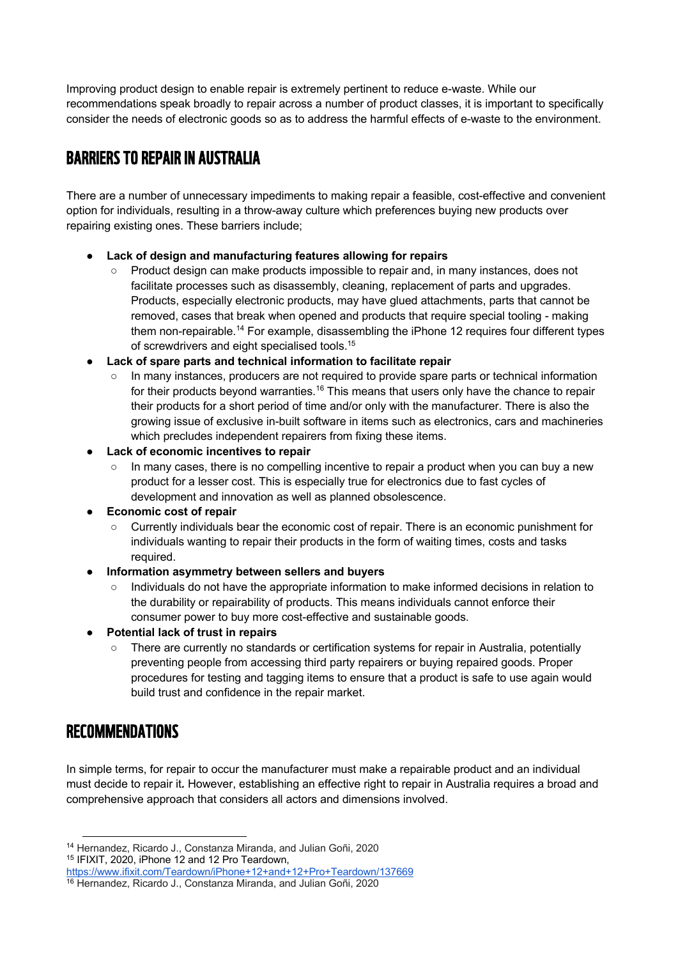Improving product design to enable repair is extremely pertinent to reduce e-waste. While our recommendations speak broadly to repair across a number of product classes, it is important to specifically consider the needs of electronic goods so as to address the harmful effects of e-waste to the environment.

# BARRIERS TO REPAIR IN AUSTRALIA

There are a number of unnecessary impediments to making repair a feasible, cost-effective and convenient option for individuals, resulting in a throw-away culture which preferences buying new products over repairing existing ones. These barriers include;

### **Lack of design and manufacturing features allowing for repairs**

- Product design can make products impossible to repair and, in many instances, does not facilitate processes such as disassembly, cleaning, replacement of parts and upgrades. Products, especially electronic products, may have glued attachments, parts that cannot be removed, cases that break when opened and products that require special tooling - making them non-repairable.<sup>14</sup> For example, disassembling the iPhone 12 requires four different types of screwdrivers and eight specialised tools.15
- Lack of spare parts and technical information to facilitate repair
	- In many instances, producers are not required to provide spare parts or technical information for their products beyond warranties.<sup>16</sup> This means that users only have the chance to repair their products for a short period of time and/or only with the manufacturer. There is also the growing issue of exclusive in-built software in items such as electronics, cars and machineries which precludes independent repairers from fixing these items.
- **Lack of economic incentives to repair** 
	- In many cases, there is no compelling incentive to repair a product when you can buy a new product for a lesser cost. This is especially true for electronics due to fast cycles of development and innovation as well as planned obsolescence.
- **Economic cost of repair** 
	- Currently individuals bear the economic cost of repair. There is an economic punishment for individuals wanting to repair their products in the form of waiting times, costs and tasks required.
- **Information asymmetry between sellers and buyers** 
	- Individuals do not have the appropriate information to make informed decisions in relation to the durability or repairability of products. This means individuals cannot enforce their consumer power to buy more cost-effective and sustainable goods.
- **Potential lack of trust in repairs**
	- There are currently no standards or certification systems for repair in Australia, potentially preventing people from accessing third party repairers or buying repaired goods. Proper procedures for testing and tagging items to ensure that a product is safe to use again would build trust and confidence in the repair market.

## RECOMMENDATIONS

In simple terms, for repair to occur the manufacturer must make a repairable product and an individual must decide to repair it*.* However, establishing an effective right to repair in Australia requires a broad and comprehensive approach that considers all actors and dimensions involved.

<sup>14</sup> Hernandez, Ricardo J., Constanza Miranda, and Julian Goñi, 2020

<sup>15</sup> IFIXIT, 2020, iPhone 12 and 12 Pro Teardown,

https://www.ifixit.com/Teardown/iPhone+12+and+12+Pro+Teardown/137669

<sup>&</sup>lt;sup>16</sup> Hernandez, Ricardo J., Constanza Miranda, and Julian Goñi, 2020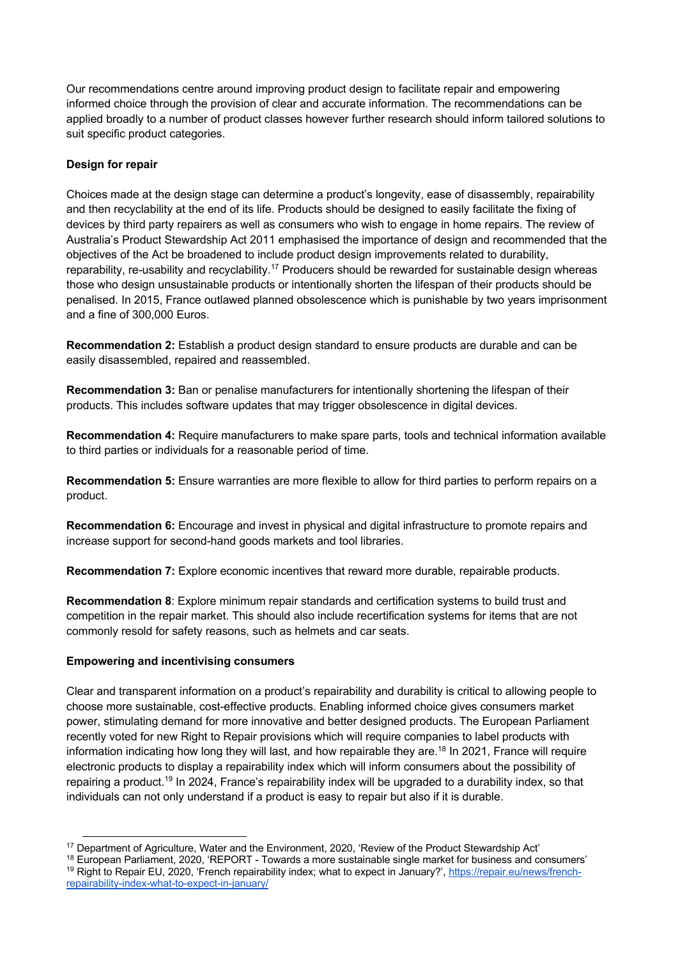Our recommendations centre around improving product design to facilitate repair and empowering informed choice through the provision of clear and accurate information. The recommendations can be applied broadly to a number of product classes however further research should inform tailored solutions to suit specific product categories.

#### **Design for repair**

Choices made at the design stage can determine a product's longevity, ease of disassembly, repairability and then recyclability at the end of its life. Products should be designed to easily facilitate the fixing of devices by third party repairers as well as consumers who wish to engage in home repairs. The review of Australia's Product Stewardship Act 2011 emphasised the importance of design and recommended that the objectives of the Act be broadened to include product design improvements related to durability, reparability, re-usability and recyclability.<sup>17</sup> Producers should be rewarded for sustainable design whereas those who design unsustainable products or intentionally shorten the lifespan of their products should be penalised. In 2015, France outlawed planned obsolescence which is punishable by two years imprisonment and a fine of 300,000 Euros.

**Recommendation 2:** Establish a product design standard to ensure products are durable and can be easily disassembled, repaired and reassembled.

**Recommendation 3:** Ban or penalise manufacturers for intentionally shortening the lifespan of their products. This includes software updates that may trigger obsolescence in digital devices.

**Recommendation 4:** Require manufacturers to make spare parts, tools and technical information available to third parties or individuals for a reasonable period of time.

**Recommendation 5:** Ensure warranties are more flexible to allow for third parties to perform repairs on a product.

**Recommendation 6:** Encourage and invest in physical and digital infrastructure to promote repairs and increase support for second-hand goods markets and tool libraries.

**Recommendation 7:** Explore economic incentives that reward more durable, repairable products.

**Recommendation 8**: Explore minimum repair standards and certification systems to build trust and competition in the repair market. This should also include recertification systems for items that are not commonly resold for safety reasons, such as helmets and car seats.

#### **Empowering and incentivising consumers**

Clear and transparent information on a product's repairability and durability is critical to allowing people to choose more sustainable, cost-effective products. Enabling informed choice gives consumers market power, stimulating demand for more innovative and better designed products. The European Parliament recently voted for new Right to Repair provisions which will require companies to label products with information indicating how long they will last, and how repairable they are.<sup>18</sup> In 2021, France will require electronic products to display a repairability index which will inform consumers about the possibility of repairing a product.19 In 2024, France's repairability index will be upgraded to a durability index, so that individuals can not only understand if a product is easy to repair but also if it is durable.

<sup>17</sup> Department of Agriculture, Water and the Environment, 2020, 'Review of the Product Stewardship Act'

<sup>18</sup> European Parliament, 2020, 'REPORT - Towards a more sustainable single market for business and consumers' <sup>19</sup> Right to Repair EU, 2020, 'French repairability index; what to expect in January?', https://repair.eu/news/frenchrepairability-index-what-to-expect-in-january/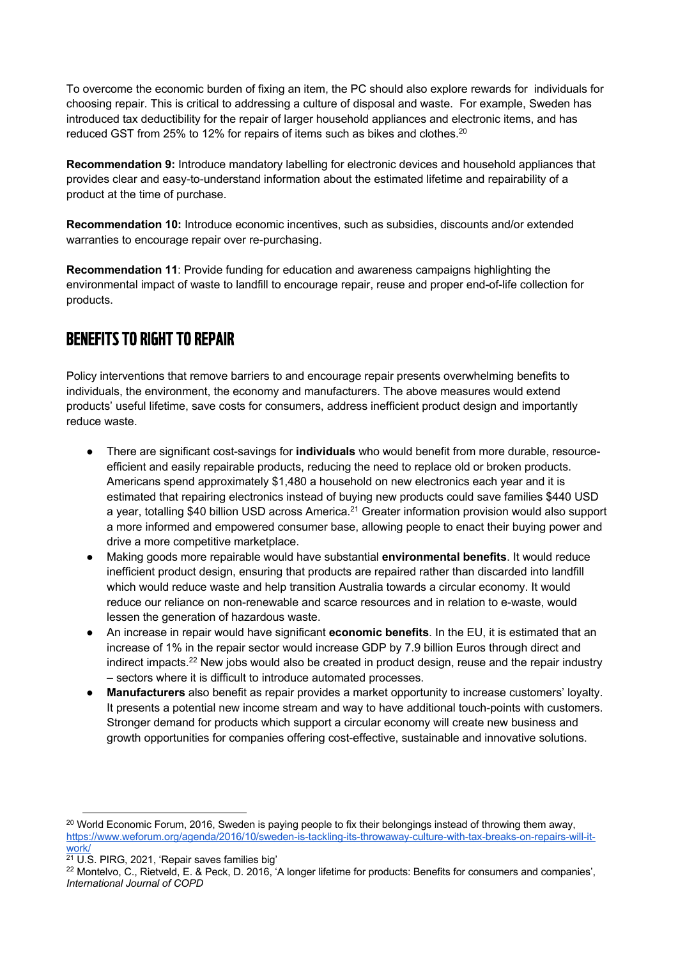To overcome the economic burden of fixing an item, the PC should also explore rewards for individuals for choosing repair. This is critical to addressing a culture of disposal and waste. For example, Sweden has introduced tax deductibility for the repair of larger household appliances and electronic items, and has reduced GST from 25% to 12% for repairs of items such as bikes and clothes.<sup>20</sup>

**Recommendation 9:** Introduce mandatory labelling for electronic devices and household appliances that provides clear and easy-to-understand information about the estimated lifetime and repairability of a product at the time of purchase.

**Recommendation 10:** Introduce economic incentives, such as subsidies, discounts and/or extended warranties to encourage repair over re-purchasing.

**Recommendation 11**: Provide funding for education and awareness campaigns highlighting the environmental impact of waste to landfill to encourage repair, reuse and proper end-of-life collection for products.

## BENEFITS TO RIGHT TO REPAIR

Policy interventions that remove barriers to and encourage repair presents overwhelming benefits to individuals, the environment, the economy and manufacturers. The above measures would extend products' useful lifetime, save costs for consumers, address inefficient product design and importantly reduce waste.

- There are significant cost-savings for **individuals** who would benefit from more durable, resourceefficient and easily repairable products, reducing the need to replace old or broken products. Americans spend approximately \$1,480 a household on new electronics each year and it is estimated that repairing electronics instead of buying new products could save families \$440 USD a year, totalling \$40 billion USD across America.21 Greater information provision would also support a more informed and empowered consumer base, allowing people to enact their buying power and drive a more competitive marketplace.
- Making goods more repairable would have substantial **environmental benefits**. It would reduce inefficient product design, ensuring that products are repaired rather than discarded into landfill which would reduce waste and help transition Australia towards a circular economy. It would reduce our reliance on non-renewable and scarce resources and in relation to e-waste, would lessen the generation of hazardous waste.
- An increase in repair would have significant **economic benefits**. In the EU, it is estimated that an increase of 1% in the repair sector would increase GDP by 7.9 billion Euros through direct and indirect impacts.<sup>22</sup> New jobs would also be created in product design, reuse and the repair industry – sectors where it is difficult to introduce automated processes.
- **Manufacturers** also benefit as repair provides a market opportunity to increase customers' loyalty. It presents a potential new income stream and way to have additional touch-points with customers. Stronger demand for products which support a circular economy will create new business and growth opportunities for companies offering cost-effective, sustainable and innovative solutions.

<sup>&</sup>lt;sup>20</sup> World Economic Forum, 2016, Sweden is paying people to fix their belongings instead of throwing them away, https://www.weforum.org/agenda/2016/10/sweden-is-tackling-its-throwaway-culture-with-tax-breaks-on-repairs-will-itwork/

<sup>&</sup>lt;sup>21</sup> U.S. PIRG, 2021, 'Repair saves families big'

<sup>22</sup> Montelvo, C., Rietveld, E. & Peck, D. 2016, 'A longer lifetime for products: Benefits for consumers and companies', *International Journal of COPD*